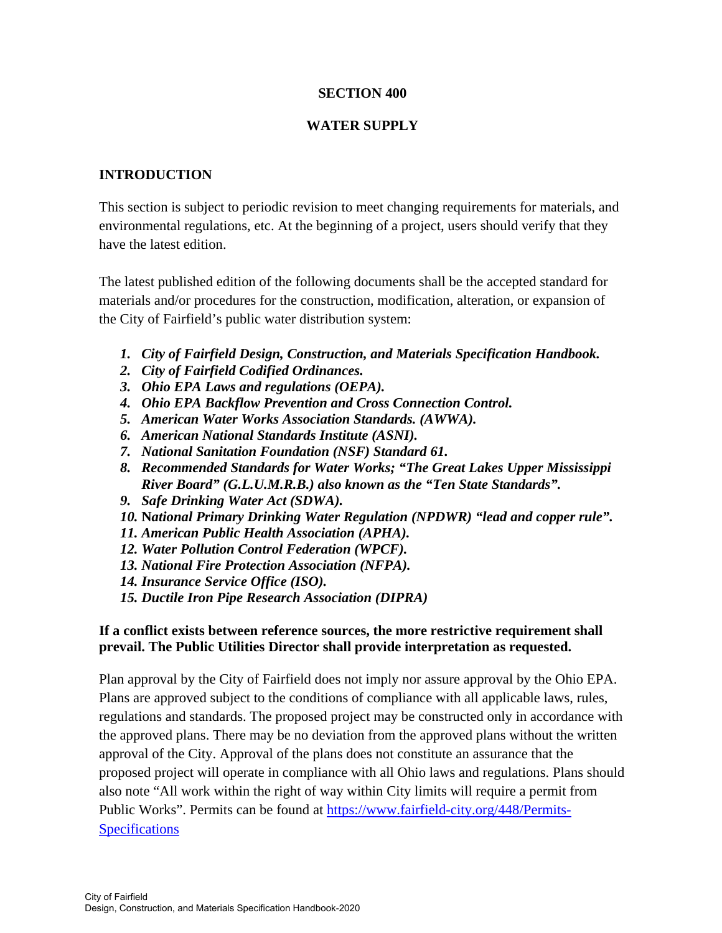# **SECTION 400**

# **WATER SUPPLY**

# **INTRODUCTION**

This section is subject to periodic revision to meet changing requirements for materials, and environmental regulations, etc. At the beginning of a project, users should verify that they have the latest edition.

The latest published edition of the following documents shall be the accepted standard for materials and/or procedures for the construction, modification, alteration, or expansion of the City of Fairfield's public water distribution system:

- *1. City of Fairfield Design, Construction, and Materials Specification Handbook.*
- *2. City of Fairfield Codified Ordinances.*
- *3. Ohio EPA Laws and regulations (OEPA).*
- *4. Ohio EPA Backflow Prevention and Cross Connection Control.*
- *5. American Water Works Association Standards. (AWWA).*
- *6. American National Standards Institute (ASNI).*
- *7. National Sanitation Foundation (NSF) Standard 61.*
- *8. Recommended Standards for Water Works; "The Great Lakes Upper Mississippi River Board" (G.L.U.M.R.B.) also known as the "Ten State Standards".*
- *9. Safe Drinking Water Act (SDWA).*
- *10.* **N***ational Primary Drinking Water Regulation (NPDWR) "lead and copper rule".*
- *11. American Public Health Association (APHA).*
- *12. Water Pollution Control Federation (WPCF).*
- *13. National Fire Protection Association (NFPA).*
- *14. Insurance Service Office (ISO).*
- *15. Ductile Iron Pipe Research Association (DIPRA)*

# **If a conflict exists between reference sources, the more restrictive requirement shall prevail. The Public Utilities Director shall provide interpretation as requested.**

Plan approval by the City of Fairfield does not imply nor assure approval by the Ohio EPA. Plans are approved subject to the conditions of compliance with all applicable laws, rules, regulations and standards. The proposed project may be constructed only in accordance with the approved plans. There may be no deviation from the approved plans without the written approval of the City. Approval of the plans does not constitute an assurance that the proposed project will operate in compliance with all Ohio laws and regulations. Plans should also note "All work within the right of way within City limits will require a permit from Public Works". Permits can be found at https://www.fairfield-city.org/448/Permits-**Specifications**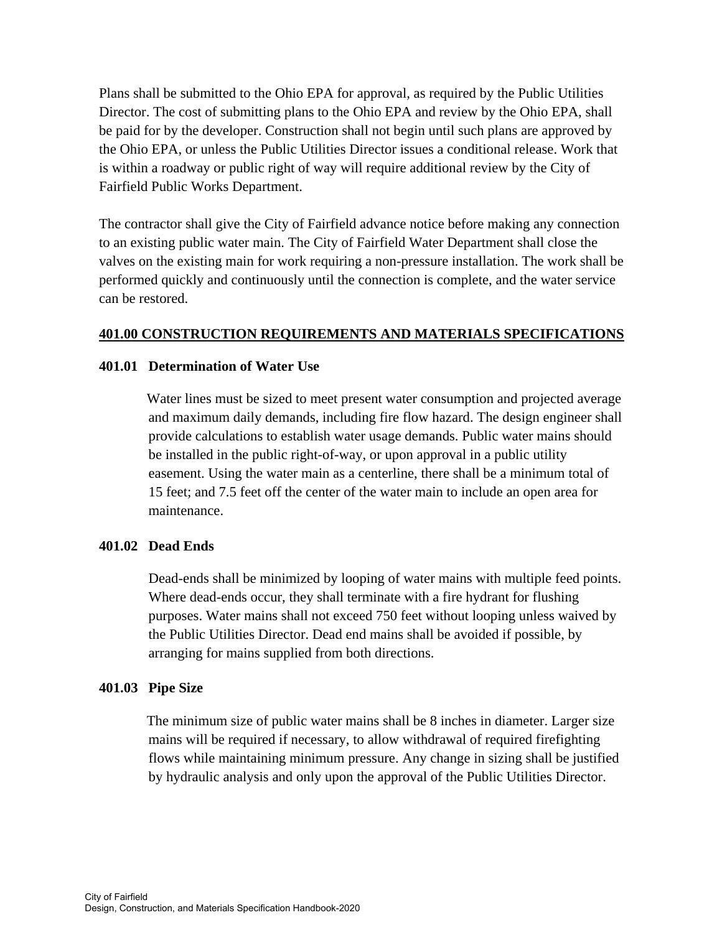Plans shall be submitted to the Ohio EPA for approval, as required by the Public Utilities Director. The cost of submitting plans to the Ohio EPA and review by the Ohio EPA, shall be paid for by the developer. Construction shall not begin until such plans are approved by the Ohio EPA, or unless the Public Utilities Director issues a conditional release. Work that is within a roadway or public right of way will require additional review by the City of Fairfield Public Works Department.

The contractor shall give the City of Fairfield advance notice before making any connection to an existing public water main. The City of Fairfield Water Department shall close the valves on the existing main for work requiring a non-pressure installation. The work shall be performed quickly and continuously until the connection is complete, and the water service can be restored.

# **401.00 CONSTRUCTION REQUIREMENTS AND MATERIALS SPECIFICATIONS**

## **401.01 Determination of Water Use**

Water lines must be sized to meet present water consumption and projected average and maximum daily demands, including fire flow hazard. The design engineer shall provide calculations to establish water usage demands. Public water mains should be installed in the public right-of-way, or upon approval in a public utility easement. Using the water main as a centerline, there shall be a minimum total of 15 feet; and 7.5 feet off the center of the water main to include an open area for maintenance.

## **401.02 Dead Ends**

 Dead-ends shall be minimized by looping of water mains with multiple feed points. Where dead-ends occur, they shall terminate with a fire hydrant for flushing purposes. Water mains shall not exceed 750 feet without looping unless waived by the Public Utilities Director. Dead end mains shall be avoided if possible, by arranging for mains supplied from both directions.

#### **401.03 Pipe Size**

The minimum size of public water mains shall be 8 inches in diameter. Larger size mains will be required if necessary, to allow withdrawal of required firefighting flows while maintaining minimum pressure. Any change in sizing shall be justified by hydraulic analysis and only upon the approval of the Public Utilities Director.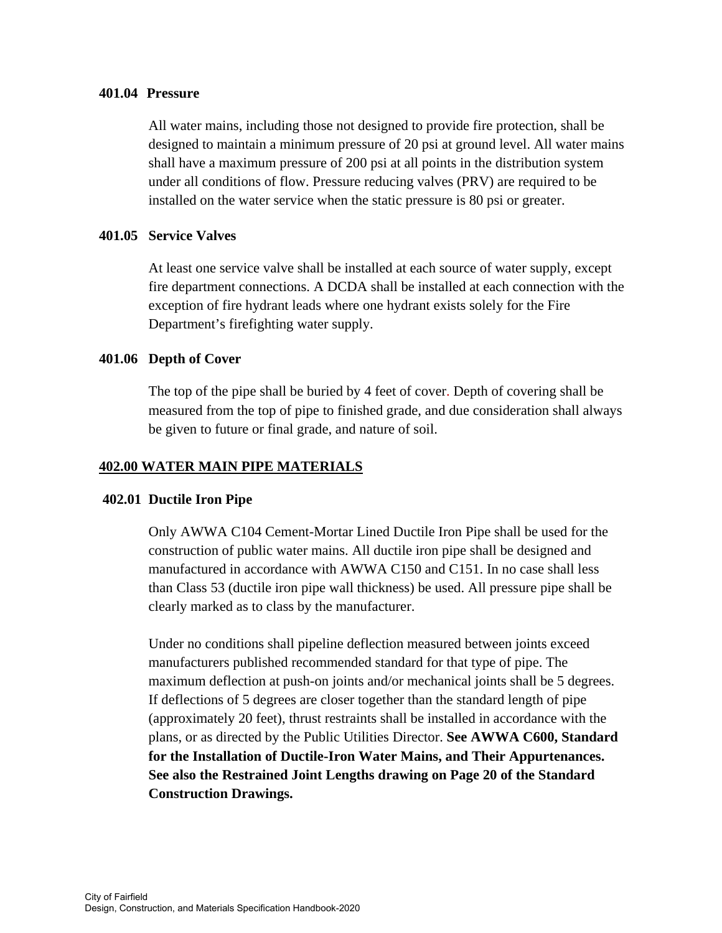### **401.04 Pressure**

All water mains, including those not designed to provide fire protection, shall be designed to maintain a minimum pressure of 20 psi at ground level. All water mains shall have a maximum pressure of 200 psi at all points in the distribution system under all conditions of flow. Pressure reducing valves (PRV) are required to be installed on the water service when the static pressure is 80 psi or greater.

## **401.05 Service Valves**

At least one service valve shall be installed at each source of water supply, except fire department connections. A DCDA shall be installed at each connection with the exception of fire hydrant leads where one hydrant exists solely for the Fire Department's firefighting water supply.

## **401.06 Depth of Cover**

The top of the pipe shall be buried by 4 feet of cover. Depth of covering shall be measured from the top of pipe to finished grade, and due consideration shall always be given to future or final grade, and nature of soil.

# **402.00 WATER MAIN PIPE MATERIALS**

## **402.01 Ductile Iron Pipe**

Only AWWA C104 Cement-Mortar Lined Ductile Iron Pipe shall be used for the construction of public water mains. All ductile iron pipe shall be designed and manufactured in accordance with AWWA C150 and C151. In no case shall less than Class 53 (ductile iron pipe wall thickness) be used. All pressure pipe shall be clearly marked as to class by the manufacturer.

 Under no conditions shall pipeline deflection measured between joints exceed manufacturers published recommended standard for that type of pipe. The maximum deflection at push-on joints and/or mechanical joints shall be 5 degrees. If deflections of 5 degrees are closer together than the standard length of pipe (approximately 20 feet), thrust restraints shall be installed in accordance with the plans, or as directed by the Public Utilities Director. **See AWWA C600, Standard for the Installation of Ductile-Iron Water Mains, and Their Appurtenances. See also the Restrained Joint Lengths drawing on Page 20 of the Standard Construction Drawings.**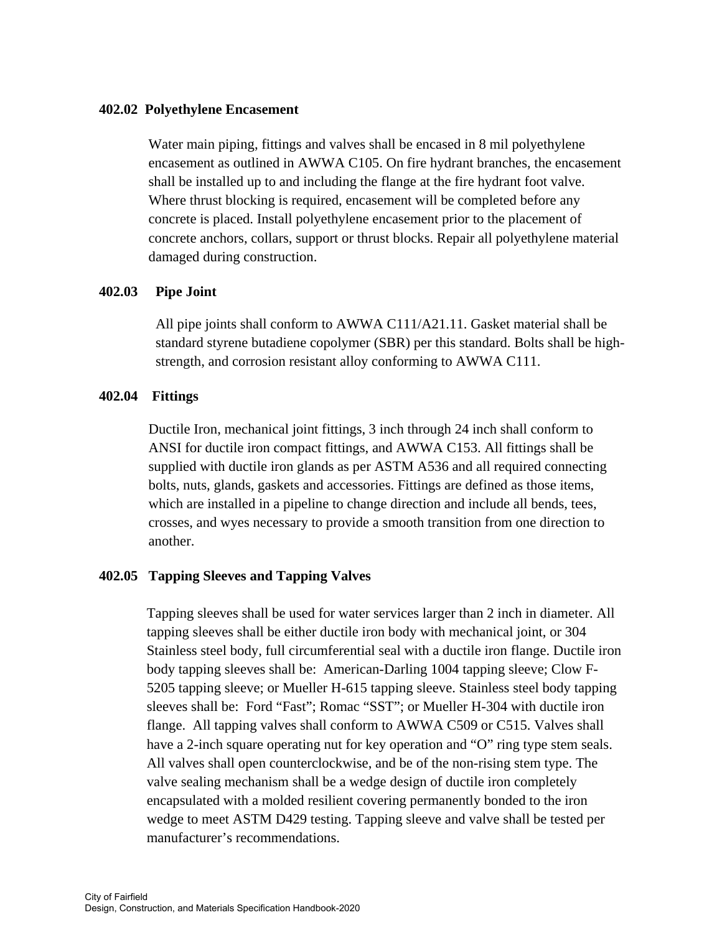### **402.02 Polyethylene Encasement**

Water main piping, fittings and valves shall be encased in 8 mil polyethylene encasement as outlined in AWWA C105. On fire hydrant branches, the encasement shall be installed up to and including the flange at the fire hydrant foot valve. Where thrust blocking is required, encasement will be completed before any concrete is placed. Install polyethylene encasement prior to the placement of concrete anchors, collars, support or thrust blocks. Repair all polyethylene material damaged during construction.

## **402.03 Pipe Joint**

All pipe joints shall conform to AWWA C111/A21.11. Gasket material shall be standard styrene butadiene copolymer (SBR) per this standard. Bolts shall be highstrength, and corrosion resistant alloy conforming to AWWA C111.

## **402.04 Fittings**

Ductile Iron, mechanical joint fittings, 3 inch through 24 inch shall conform to ANSI for ductile iron compact fittings, and AWWA C153. All fittings shall be supplied with ductile iron glands as per ASTM A536 and all required connecting bolts, nuts, glands, gaskets and accessories. Fittings are defined as those items, which are installed in a pipeline to change direction and include all bends, tees, crosses, and wyes necessary to provide a smooth transition from one direction to another.

## **402.05 Tapping Sleeves and Tapping Valves**

Tapping sleeves shall be used for water services larger than 2 inch in diameter. All tapping sleeves shall be either ductile iron body with mechanical joint, or 304 Stainless steel body, full circumferential seal with a ductile iron flange. Ductile iron body tapping sleeves shall be: American-Darling 1004 tapping sleeve; Clow F-5205 tapping sleeve; or Mueller H-615 tapping sleeve. Stainless steel body tapping sleeves shall be: Ford "Fast"; Romac "SST"; or Mueller H-304 with ductile iron flange. All tapping valves shall conform to AWWA C509 or C515. Valves shall have a 2-inch square operating nut for key operation and "O" ring type stem seals. All valves shall open counterclockwise, and be of the non-rising stem type. The valve sealing mechanism shall be a wedge design of ductile iron completely encapsulated with a molded resilient covering permanently bonded to the iron wedge to meet ASTM D429 testing. Tapping sleeve and valve shall be tested per manufacturer's recommendations.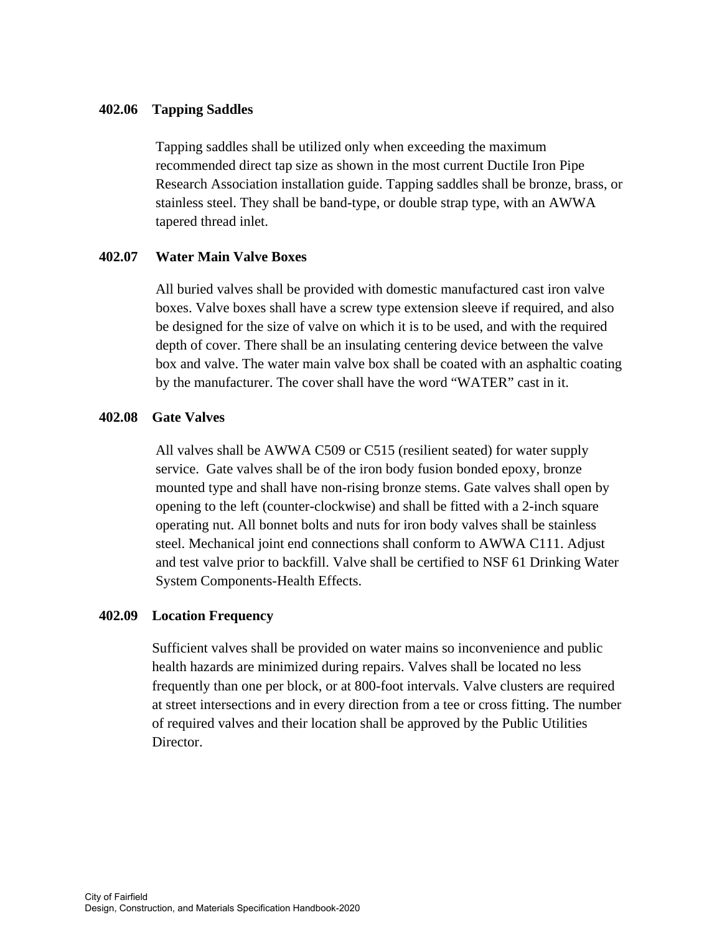## **402.06 Tapping Saddles**

Tapping saddles shall be utilized only when exceeding the maximum recommended direct tap size as shown in the most current Ductile Iron Pipe Research Association installation guide. Tapping saddles shall be bronze, brass, or stainless steel. They shall be band-type, or double strap type, with an AWWA tapered thread inlet.

# **402.07 Water Main Valve Boxes**

All buried valves shall be provided with domestic manufactured cast iron valve boxes. Valve boxes shall have a screw type extension sleeve if required, and also be designed for the size of valve on which it is to be used, and with the required depth of cover. There shall be an insulating centering device between the valve box and valve. The water main valve box shall be coated with an asphaltic coating by the manufacturer. The cover shall have the word "WATER" cast in it.

## **402.08 Gate Valves**

All valves shall be AWWA C509 or C515 (resilient seated) for water supply service. Gate valves shall be of the iron body fusion bonded epoxy, bronze mounted type and shall have non-rising bronze stems. Gate valves shall open by opening to the left (counter-clockwise) and shall be fitted with a 2-inch square operating nut. All bonnet bolts and nuts for iron body valves shall be stainless steel. Mechanical joint end connections shall conform to AWWA C111. Adjust and test valve prior to backfill. Valve shall be certified to NSF 61 Drinking Water System Components-Health Effects.

# **402.09 Location Frequency**

Sufficient valves shall be provided on water mains so inconvenience and public health hazards are minimized during repairs. Valves shall be located no less frequently than one per block, or at 800-foot intervals. Valve clusters are required at street intersections and in every direction from a tee or cross fitting. The number of required valves and their location shall be approved by the Public Utilities Director.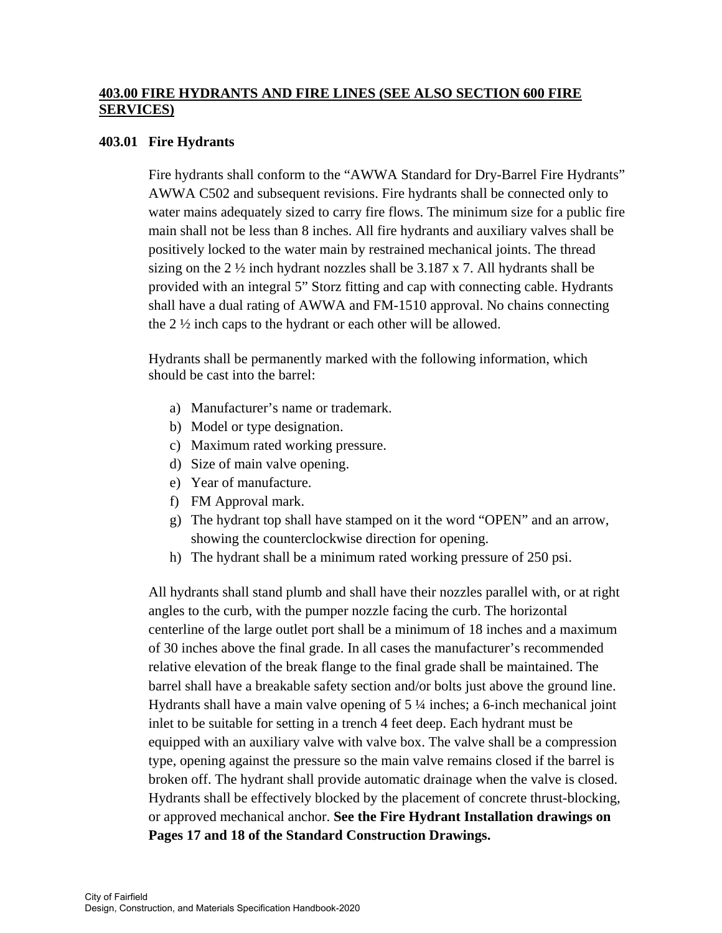# **403.00 FIRE HYDRANTS AND FIRE LINES (SEE ALSO SECTION 600 FIRE SERVICES)**

# **403.01 Fire Hydrants**

Fire hydrants shall conform to the "AWWA Standard for Dry-Barrel Fire Hydrants" AWWA C502 and subsequent revisions. Fire hydrants shall be connected only to water mains adequately sized to carry fire flows. The minimum size for a public fire main shall not be less than 8 inches. All fire hydrants and auxiliary valves shall be positively locked to the water main by restrained mechanical joints. The thread sizing on the 2  $\frac{1}{2}$  inch hydrant nozzles shall be 3.187 x 7. All hydrants shall be provided with an integral 5" Storz fitting and cap with connecting cable. Hydrants shall have a dual rating of AWWA and FM-1510 approval. No chains connecting the 2 ½ inch caps to the hydrant or each other will be allowed.

 Hydrants shall be permanently marked with the following information, which should be cast into the barrel:

- a) Manufacturer's name or trademark.
- b) Model or type designation.
- c) Maximum rated working pressure.
- d) Size of main valve opening.
- e) Year of manufacture.
- f) FM Approval mark.
- g) The hydrant top shall have stamped on it the word "OPEN" and an arrow, showing the counterclockwise direction for opening.
- h) The hydrant shall be a minimum rated working pressure of 250 psi.

 All hydrants shall stand plumb and shall have their nozzles parallel with, or at right angles to the curb, with the pumper nozzle facing the curb. The horizontal centerline of the large outlet port shall be a minimum of 18 inches and a maximum of 30 inches above the final grade. In all cases the manufacturer's recommended relative elevation of the break flange to the final grade shall be maintained. The barrel shall have a breakable safety section and/or bolts just above the ground line. Hydrants shall have a main valve opening of 5 ¼ inches; a 6-inch mechanical joint inlet to be suitable for setting in a trench 4 feet deep. Each hydrant must be equipped with an auxiliary valve with valve box. The valve shall be a compression type, opening against the pressure so the main valve remains closed if the barrel is broken off. The hydrant shall provide automatic drainage when the valve is closed. Hydrants shall be effectively blocked by the placement of concrete thrust-blocking, or approved mechanical anchor. **See the Fire Hydrant Installation drawings on Pages 17 and 18 of the Standard Construction Drawings.**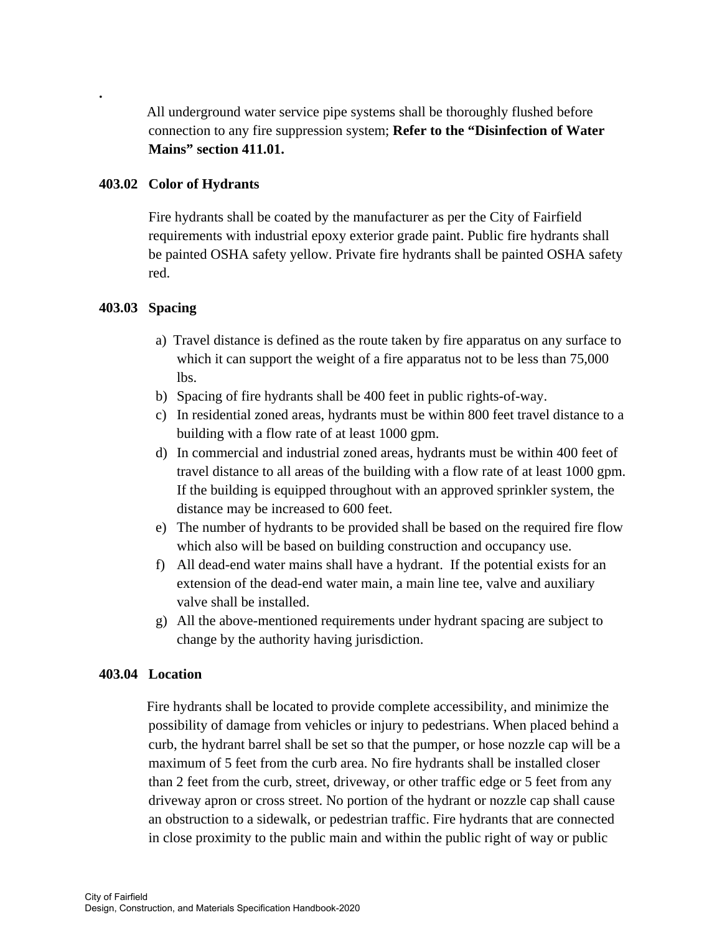All underground water service pipe systems shall be thoroughly flushed before connection to any fire suppression system; **Refer to the "Disinfection of Water Mains" section 411.01.** 

# **403.02 Color of Hydrants**

Fire hydrants shall be coated by the manufacturer as per the City of Fairfield requirements with industrial epoxy exterior grade paint. Public fire hydrants shall be painted OSHA safety yellow. Private fire hydrants shall be painted OSHA safety red.

# **403.03 Spacing**

**.**

- a) Travel distance is defined as the route taken by fire apparatus on any surface to which it can support the weight of a fire apparatus not to be less than  $75,000$ lbs.
- b) Spacing of fire hydrants shall be 400 feet in public rights-of-way.
- c) In residential zoned areas, hydrants must be within 800 feet travel distance to a building with a flow rate of at least 1000 gpm.
- d) In commercial and industrial zoned areas, hydrants must be within 400 feet of travel distance to all areas of the building with a flow rate of at least 1000 gpm. If the building is equipped throughout with an approved sprinkler system, the distance may be increased to 600 feet.
- e) The number of hydrants to be provided shall be based on the required fire flow which also will be based on building construction and occupancy use.
- f) All dead-end water mains shall have a hydrant. If the potential exists for an extension of the dead-end water main, a main line tee, valve and auxiliary valve shall be installed.
- g) All the above-mentioned requirements under hydrant spacing are subject to change by the authority having jurisdiction.

## **403.04 Location**

Fire hydrants shall be located to provide complete accessibility, and minimize the possibility of damage from vehicles or injury to pedestrians. When placed behind a curb, the hydrant barrel shall be set so that the pumper, or hose nozzle cap will be a maximum of 5 feet from the curb area. No fire hydrants shall be installed closer than 2 feet from the curb, street, driveway, or other traffic edge or 5 feet from any driveway apron or cross street. No portion of the hydrant or nozzle cap shall cause an obstruction to a sidewalk, or pedestrian traffic. Fire hydrants that are connected in close proximity to the public main and within the public right of way or public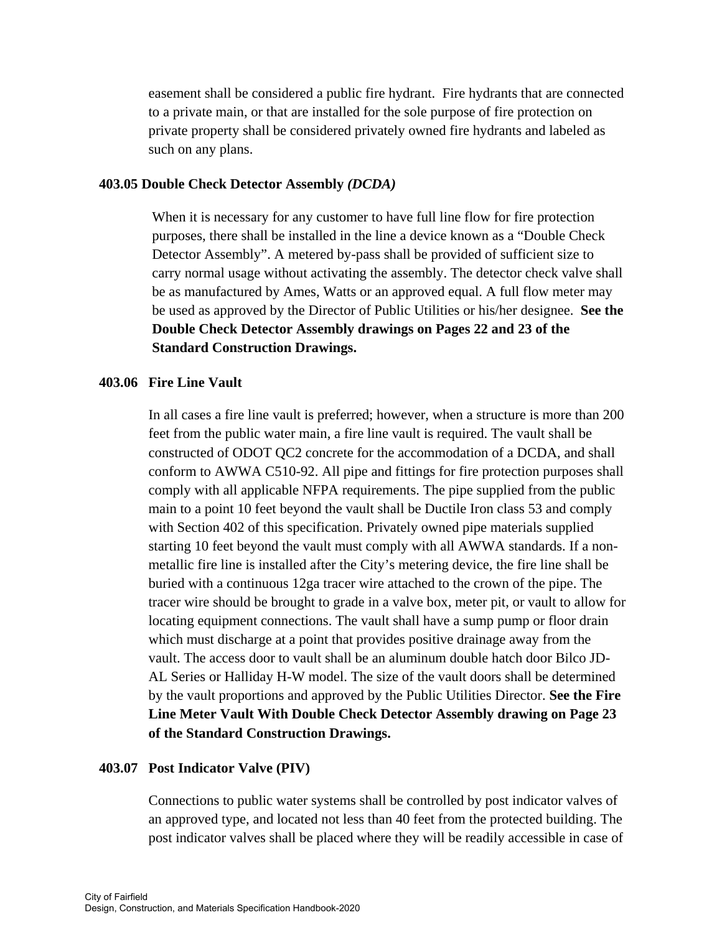easement shall be considered a public fire hydrant. Fire hydrants that are connected to a private main, or that are installed for the sole purpose of fire protection on private property shall be considered privately owned fire hydrants and labeled as such on any plans.

## **403.05 Double Check Detector Assembly** *(DCDA)*

When it is necessary for any customer to have full line flow for fire protection purposes, there shall be installed in the line a device known as a "Double Check Detector Assembly". A metered by-pass shall be provided of sufficient size to carry normal usage without activating the assembly. The detector check valve shall be as manufactured by Ames, Watts or an approved equal. A full flow meter may be used as approved by the Director of Public Utilities or his/her designee. **See the Double Check Detector Assembly drawings on Pages 22 and 23 of the Standard Construction Drawings.** 

## **403.06 Fire Line Vault**

 In all cases a fire line vault is preferred; however, when a structure is more than 200 feet from the public water main, a fire line vault is required. The vault shall be constructed of ODOT QC2 concrete for the accommodation of a DCDA, and shall conform to AWWA C510-92. All pipe and fittings for fire protection purposes shall comply with all applicable NFPA requirements. The pipe supplied from the public main to a point 10 feet beyond the vault shall be Ductile Iron class 53 and comply with Section 402 of this specification. Privately owned pipe materials supplied starting 10 feet beyond the vault must comply with all AWWA standards. If a nonmetallic fire line is installed after the City's metering device, the fire line shall be buried with a continuous 12ga tracer wire attached to the crown of the pipe. The tracer wire should be brought to grade in a valve box, meter pit, or vault to allow for locating equipment connections. The vault shall have a sump pump or floor drain which must discharge at a point that provides positive drainage away from the vault. The access door to vault shall be an aluminum double hatch door Bilco JD-AL Series or Halliday H-W model. The size of the vault doors shall be determined by the vault proportions and approved by the Public Utilities Director. **See the Fire Line Meter Vault With Double Check Detector Assembly drawing on Page 23 of the Standard Construction Drawings.** 

#### **403.07 Post Indicator Valve (PIV)**

Connections to public water systems shall be controlled by post indicator valves of an approved type, and located not less than 40 feet from the protected building. The post indicator valves shall be placed where they will be readily accessible in case of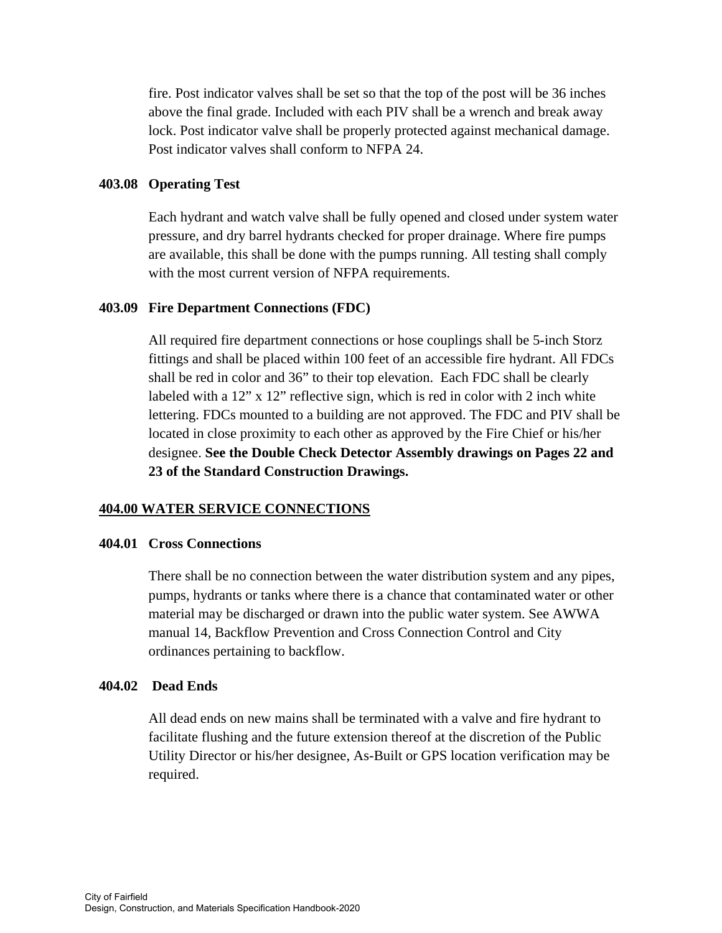fire. Post indicator valves shall be set so that the top of the post will be 36 inches above the final grade. Included with each PIV shall be a wrench and break away lock. Post indicator valve shall be properly protected against mechanical damage. Post indicator valves shall conform to NFPA 24.

## **403.08 Operating Test**

Each hydrant and watch valve shall be fully opened and closed under system water pressure, and dry barrel hydrants checked for proper drainage. Where fire pumps are available, this shall be done with the pumps running. All testing shall comply with the most current version of NFPA requirements.

### **403.09 Fire Department Connections (FDC)**

All required fire department connections or hose couplings shall be 5-inch Storz fittings and shall be placed within 100 feet of an accessible fire hydrant. All FDCs shall be red in color and 36" to their top elevation. Each FDC shall be clearly labeled with a 12" x 12" reflective sign, which is red in color with 2 inch white lettering. FDCs mounted to a building are not approved. The FDC and PIV shall be located in close proximity to each other as approved by the Fire Chief or his/her designee. **See the Double Check Detector Assembly drawings on Pages 22 and 23 of the Standard Construction Drawings.** 

## **404.00 WATER SERVICE CONNECTIONS**

#### **404.01 Cross Connections**

There shall be no connection between the water distribution system and any pipes, pumps, hydrants or tanks where there is a chance that contaminated water or other material may be discharged or drawn into the public water system. See AWWA manual 14, Backflow Prevention and Cross Connection Control and City ordinances pertaining to backflow.

#### **404.02 Dead Ends**

All dead ends on new mains shall be terminated with a valve and fire hydrant to facilitate flushing and the future extension thereof at the discretion of the Public Utility Director or his/her designee, As-Built or GPS location verification may be required.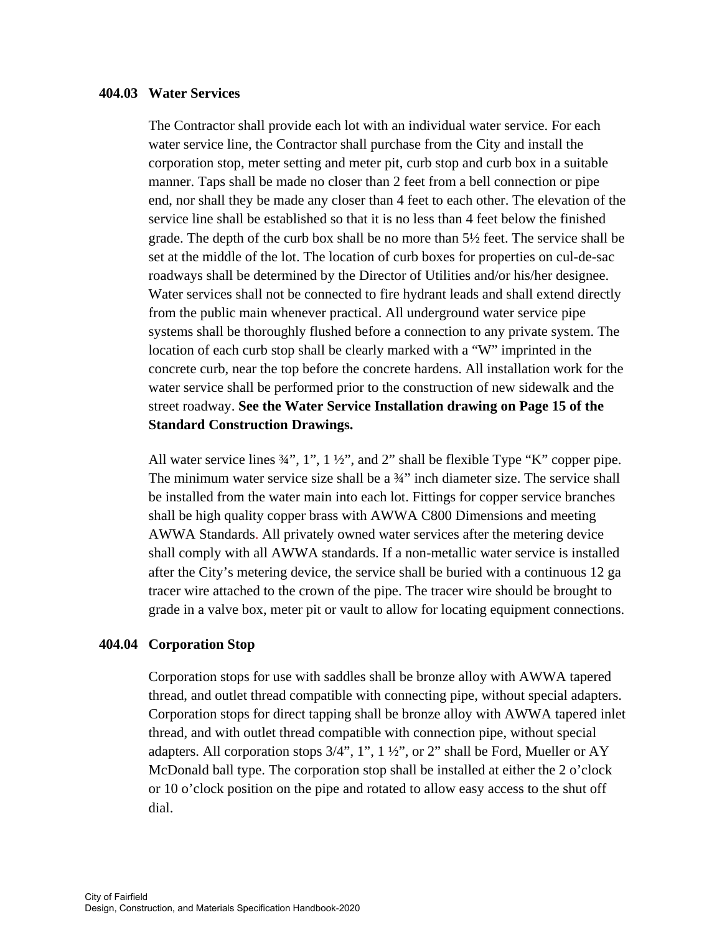#### **404.03 Water Services**

The Contractor shall provide each lot with an individual water service. For each water service line, the Contractor shall purchase from the City and install the corporation stop, meter setting and meter pit, curb stop and curb box in a suitable manner. Taps shall be made no closer than 2 feet from a bell connection or pipe end, nor shall they be made any closer than 4 feet to each other. The elevation of the service line shall be established so that it is no less than 4 feet below the finished grade. The depth of the curb box shall be no more than 5½ feet. The service shall be set at the middle of the lot. The location of curb boxes for properties on cul-de-sac roadways shall be determined by the Director of Utilities and/or his/her designee. Water services shall not be connected to fire hydrant leads and shall extend directly from the public main whenever practical. All underground water service pipe systems shall be thoroughly flushed before a connection to any private system. The location of each curb stop shall be clearly marked with a "W" imprinted in the concrete curb, near the top before the concrete hardens. All installation work for the water service shall be performed prior to the construction of new sidewalk and the street roadway. **See the Water Service Installation drawing on Page 15 of the Standard Construction Drawings.** 

All water service lines  $\frac{3}{4}$ ", 1", 1 ½", and 2" shall be flexible Type "K" copper pipe. The minimum water service size shall be a ¾" inch diameter size. The service shall be installed from the water main into each lot. Fittings for copper service branches shall be high quality copper brass with AWWA C800 Dimensions and meeting AWWA Standards. All privately owned water services after the metering device shall comply with all AWWA standards. If a non-metallic water service is installed after the City's metering device, the service shall be buried with a continuous 12 ga tracer wire attached to the crown of the pipe. The tracer wire should be brought to grade in a valve box, meter pit or vault to allow for locating equipment connections.

## **404.04 Corporation Stop**

Corporation stops for use with saddles shall be bronze alloy with AWWA tapered thread, and outlet thread compatible with connecting pipe, without special adapters. Corporation stops for direct tapping shall be bronze alloy with AWWA tapered inlet thread, and with outlet thread compatible with connection pipe, without special adapters. All corporation stops 3/4", 1", 1 ½", or 2" shall be Ford, Mueller or AY McDonald ball type. The corporation stop shall be installed at either the 2 o'clock or 10 o'clock position on the pipe and rotated to allow easy access to the shut off dial.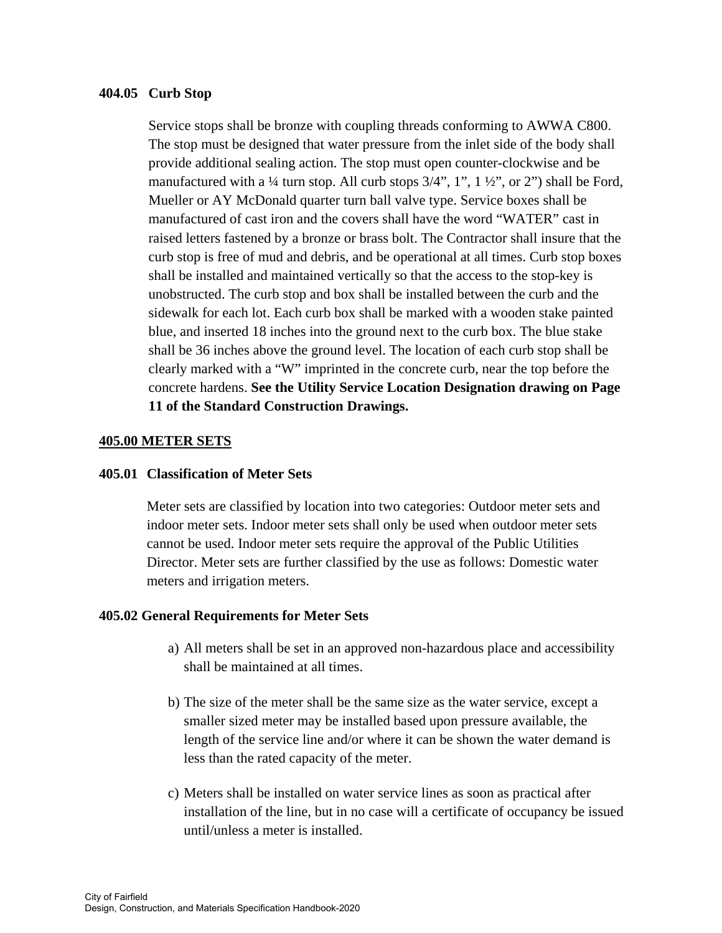#### **404.05 Curb Stop**

Service stops shall be bronze with coupling threads conforming to AWWA C800. The stop must be designed that water pressure from the inlet side of the body shall provide additional sealing action. The stop must open counter-clockwise and be manufactured with a  $\frac{1}{4}$  turn stop. All curb stops  $\frac{3}{4}$ , 1, 1,  $\frac{1}{2}$ , or 2") shall be Ford, Mueller or AY McDonald quarter turn ball valve type. Service boxes shall be manufactured of cast iron and the covers shall have the word "WATER" cast in raised letters fastened by a bronze or brass bolt. The Contractor shall insure that the curb stop is free of mud and debris, and be operational at all times. Curb stop boxes shall be installed and maintained vertically so that the access to the stop-key is unobstructed. The curb stop and box shall be installed between the curb and the sidewalk for each lot. Each curb box shall be marked with a wooden stake painted blue, and inserted 18 inches into the ground next to the curb box. The blue stake shall be 36 inches above the ground level. The location of each curb stop shall be clearly marked with a "W" imprinted in the concrete curb, near the top before the concrete hardens. **See the Utility Service Location Designation drawing on Page 11 of the Standard Construction Drawings.** 

## **405.00 METER SETS**

#### **405.01 Classification of Meter Sets**

 Meter sets are classified by location into two categories: Outdoor meter sets and indoor meter sets. Indoor meter sets shall only be used when outdoor meter sets cannot be used. Indoor meter sets require the approval of the Public Utilities Director. Meter sets are further classified by the use as follows: Domestic water meters and irrigation meters.

#### **405.02 General Requirements for Meter Sets**

- a) All meters shall be set in an approved non-hazardous place and accessibility shall be maintained at all times.
- b) The size of the meter shall be the same size as the water service, except a smaller sized meter may be installed based upon pressure available, the length of the service line and/or where it can be shown the water demand is less than the rated capacity of the meter.
- c) Meters shall be installed on water service lines as soon as practical after installation of the line, but in no case will a certificate of occupancy be issued until/unless a meter is installed.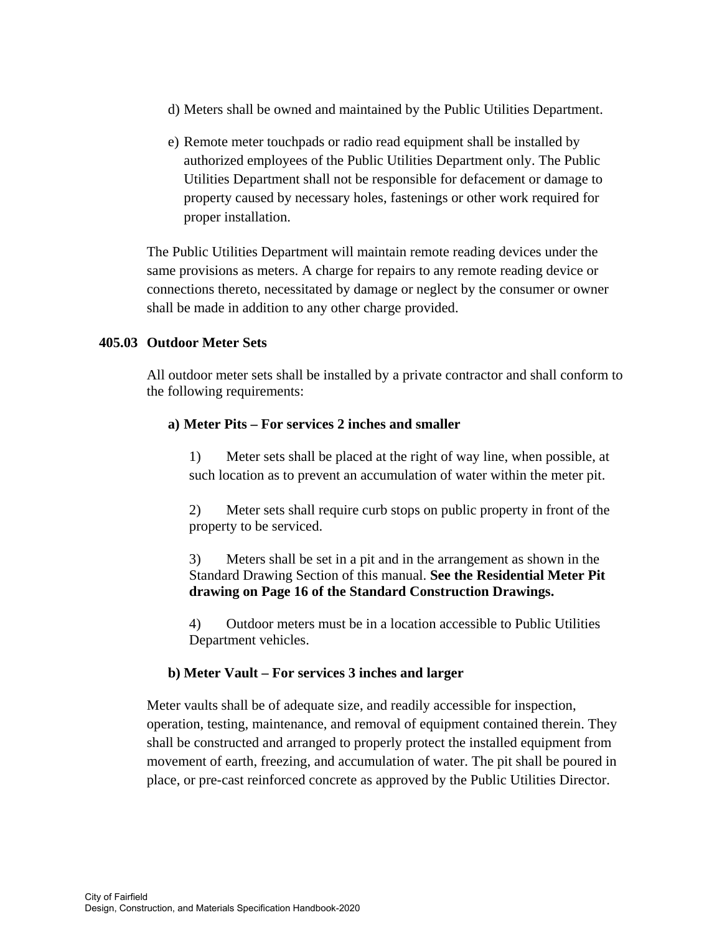- d) Meters shall be owned and maintained by the Public Utilities Department.
- e) Remote meter touchpads or radio read equipment shall be installed by authorized employees of the Public Utilities Department only. The Public Utilities Department shall not be responsible for defacement or damage to property caused by necessary holes, fastenings or other work required for proper installation.

The Public Utilities Department will maintain remote reading devices under the same provisions as meters. A charge for repairs to any remote reading device or connections thereto, necessitated by damage or neglect by the consumer or owner shall be made in addition to any other charge provided.

# **405.03 Outdoor Meter Sets**

 All outdoor meter sets shall be installed by a private contractor and shall conform to the following requirements:

## **a) Meter Pits – For services 2 inches and smaller**

1) Meter sets shall be placed at the right of way line, when possible, at such location as to prevent an accumulation of water within the meter pit.

2) Meter sets shall require curb stops on public property in front of the property to be serviced.

3) Meters shall be set in a pit and in the arrangement as shown in the Standard Drawing Section of this manual. **See the Residential Meter Pit drawing on Page 16 of the Standard Construction Drawings.** 

4) Outdoor meters must be in a location accessible to Public Utilities Department vehicles.

## **b) Meter Vault – For services 3 inches and larger**

Meter vaults shall be of adequate size, and readily accessible for inspection, operation, testing, maintenance, and removal of equipment contained therein. They shall be constructed and arranged to properly protect the installed equipment from movement of earth, freezing, and accumulation of water. The pit shall be poured in place, or pre-cast reinforced concrete as approved by the Public Utilities Director.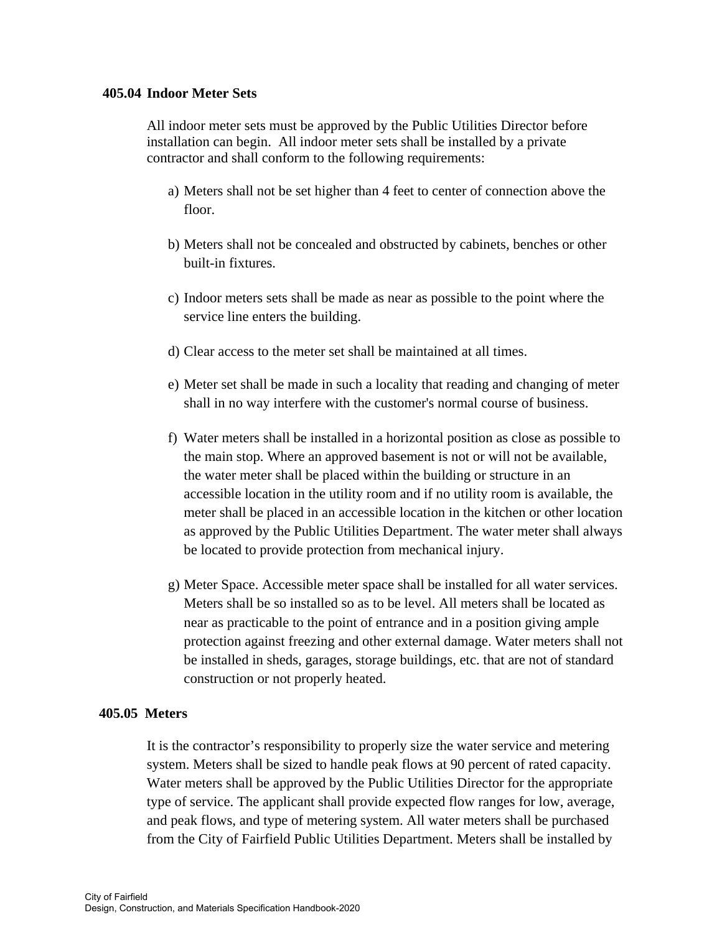#### **405.04 Indoor Meter Sets**

 All indoor meter sets must be approved by the Public Utilities Director before installation can begin. All indoor meter sets shall be installed by a private contractor and shall conform to the following requirements:

- a) Meters shall not be set higher than 4 feet to center of connection above the floor.
- b) Meters shall not be concealed and obstructed by cabinets, benches or other built-in fixtures.
- c) Indoor meters sets shall be made as near as possible to the point where the service line enters the building.
- d) Clear access to the meter set shall be maintained at all times.
- e) Meter set shall be made in such a locality that reading and changing of meter shall in no way interfere with the customer's normal course of business.
- f) Water meters shall be installed in a horizontal position as close as possible to the main stop. Where an approved basement is not or will not be available, the water meter shall be placed within the building or structure in an accessible location in the utility room and if no utility room is available, the meter shall be placed in an accessible location in the kitchen or other location as approved by the Public Utilities Department. The water meter shall always be located to provide protection from mechanical injury.
- g) Meter Space. Accessible meter space shall be installed for all water services. Meters shall be so installed so as to be level. All meters shall be located as near as practicable to the point of entrance and in a position giving ample protection against freezing and other external damage. Water meters shall not be installed in sheds, garages, storage buildings, etc. that are not of standard construction or not properly heated.

#### **405.05 Meters**

It is the contractor's responsibility to properly size the water service and metering system. Meters shall be sized to handle peak flows at 90 percent of rated capacity. Water meters shall be approved by the Public Utilities Director for the appropriate type of service. The applicant shall provide expected flow ranges for low, average, and peak flows, and type of metering system. All water meters shall be purchased from the City of Fairfield Public Utilities Department. Meters shall be installed by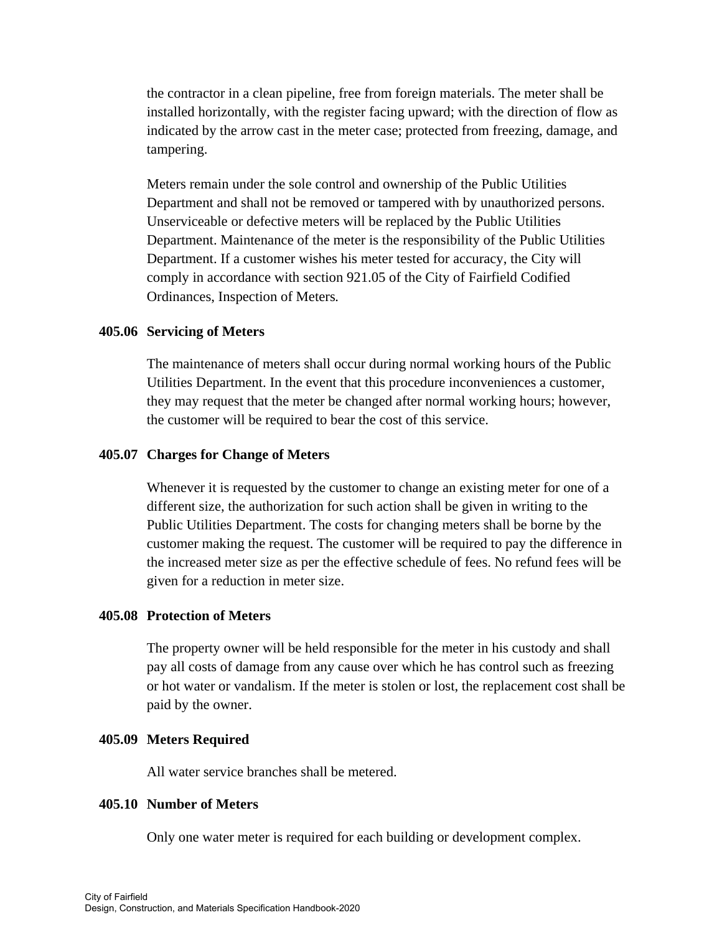the contractor in a clean pipeline, free from foreign materials. The meter shall be installed horizontally, with the register facing upward; with the direction of flow as indicated by the arrow cast in the meter case; protected from freezing, damage, and tampering.

Meters remain under the sole control and ownership of the Public Utilities Department and shall not be removed or tampered with by unauthorized persons. Unserviceable or defective meters will be replaced by the Public Utilities Department. Maintenance of the meter is the responsibility of the Public Utilities Department. If a customer wishes his meter tested for accuracy, the City will comply in accordance with section 921.05 of the City of Fairfield Codified Ordinances, Inspection of Meters*.*

### **405.06 Servicing of Meters**

The maintenance of meters shall occur during normal working hours of the Public Utilities Department. In the event that this procedure inconveniences a customer, they may request that the meter be changed after normal working hours; however, the customer will be required to bear the cost of this service.

#### **405.07 Charges for Change of Meters**

 Whenever it is requested by the customer to change an existing meter for one of a different size, the authorization for such action shall be given in writing to the Public Utilities Department. The costs for changing meters shall be borne by the customer making the request. The customer will be required to pay the difference in the increased meter size as per the effective schedule of fees. No refund fees will be given for a reduction in meter size.

## **405.08 Protection of Meters**

The property owner will be held responsible for the meter in his custody and shall pay all costs of damage from any cause over which he has control such as freezing or hot water or vandalism. If the meter is stolen or lost, the replacement cost shall be paid by the owner.

#### **405.09 Meters Required**

All water service branches shall be metered.

## **405.10 Number of Meters**

Only one water meter is required for each building or development complex.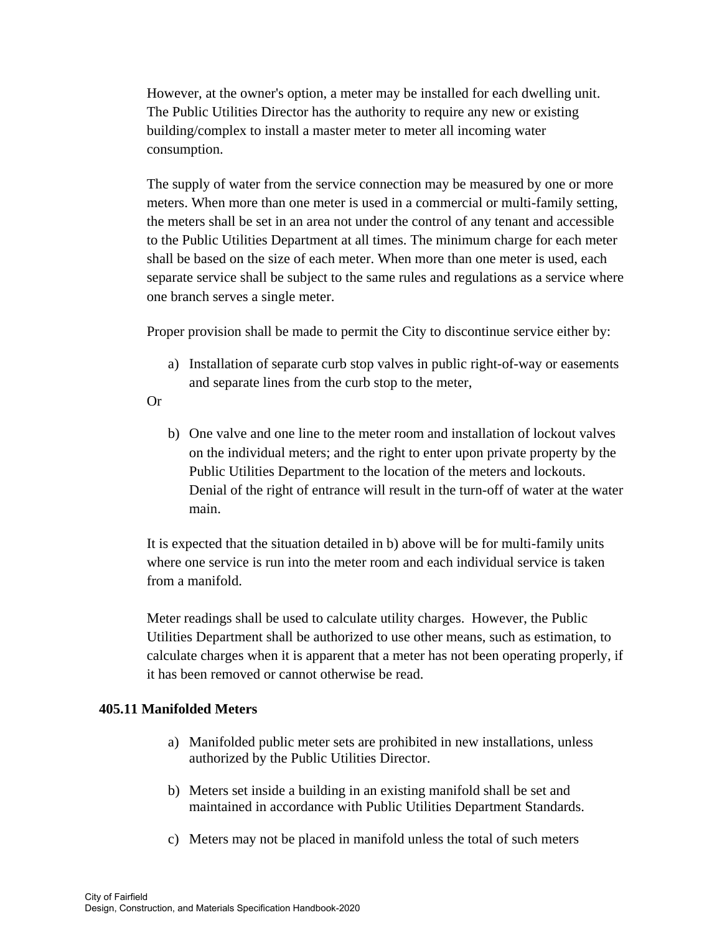However, at the owner's option, a meter may be installed for each dwelling unit. The Public Utilities Director has the authority to require any new or existing building/complex to install a master meter to meter all incoming water consumption.

 The supply of water from the service connection may be measured by one or more meters. When more than one meter is used in a commercial or multi-family setting, the meters shall be set in an area not under the control of any tenant and accessible to the Public Utilities Department at all times. The minimum charge for each meter shall be based on the size of each meter. When more than one meter is used, each separate service shall be subject to the same rules and regulations as a service where one branch serves a single meter.

Proper provision shall be made to permit the City to discontinue service either by:

- a) Installation of separate curb stop valves in public right-of-way or easements and separate lines from the curb stop to the meter,
- Or
- b) One valve and one line to the meter room and installation of lockout valves on the individual meters; and the right to enter upon private property by the Public Utilities Department to the location of the meters and lockouts. Denial of the right of entrance will result in the turn-off of water at the water main.

It is expected that the situation detailed in b) above will be for multi-family units where one service is run into the meter room and each individual service is taken from a manifold.

Meter readings shall be used to calculate utility charges. However, the Public Utilities Department shall be authorized to use other means, such as estimation, to calculate charges when it is apparent that a meter has not been operating properly, if it has been removed or cannot otherwise be read.

# **405.11 Manifolded Meters**

- a) Manifolded public meter sets are prohibited in new installations, unless authorized by the Public Utilities Director.
- b) Meters set inside a building in an existing manifold shall be set and maintained in accordance with Public Utilities Department Standards.
- c) Meters may not be placed in manifold unless the total of such meters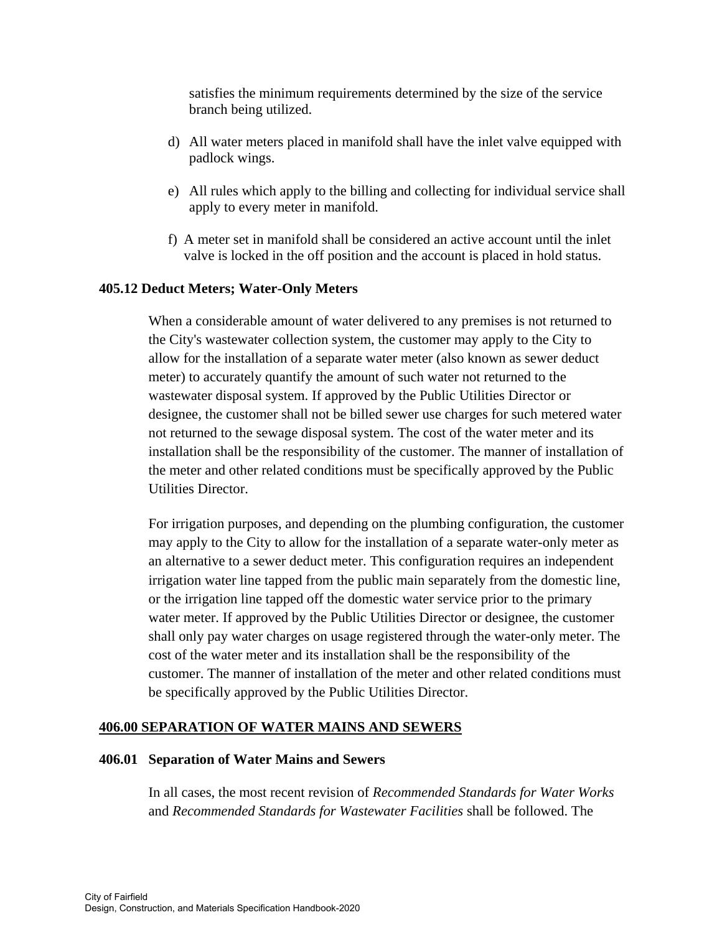satisfies the minimum requirements determined by the size of the service branch being utilized.

- d) All water meters placed in manifold shall have the inlet valve equipped with padlock wings.
- e) All rules which apply to the billing and collecting for individual service shall apply to every meter in manifold.
- f) A meter set in manifold shall be considered an active account until the inlet valve is locked in the off position and the account is placed in hold status.

# **405.12 Deduct Meters; Water-Only Meters**

When a considerable amount of water delivered to any premises is not returned to the City's wastewater collection system, the customer may apply to the City to allow for the installation of a separate water meter (also known as sewer deduct meter) to accurately quantify the amount of such water not returned to the wastewater disposal system. If approved by the Public Utilities Director or designee, the customer shall not be billed sewer use charges for such metered water not returned to the sewage disposal system. The cost of the water meter and its installation shall be the responsibility of the customer. The manner of installation of the meter and other related conditions must be specifically approved by the Public Utilities Director.

 For irrigation purposes, and depending on the plumbing configuration, the customer may apply to the City to allow for the installation of a separate water-only meter as an alternative to a sewer deduct meter. This configuration requires an independent irrigation water line tapped from the public main separately from the domestic line, or the irrigation line tapped off the domestic water service prior to the primary water meter. If approved by the Public Utilities Director or designee, the customer shall only pay water charges on usage registered through the water-only meter. The cost of the water meter and its installation shall be the responsibility of the customer. The manner of installation of the meter and other related conditions must be specifically approved by the Public Utilities Director.

## **406.00 SEPARATION OF WATER MAINS AND SEWERS**

## **406.01 Separation of Water Mains and Sewers**

In all cases, the most recent revision of *Recommended Standards for Water Works*  and *Recommended Standards for Wastewater Facilities* shall be followed. The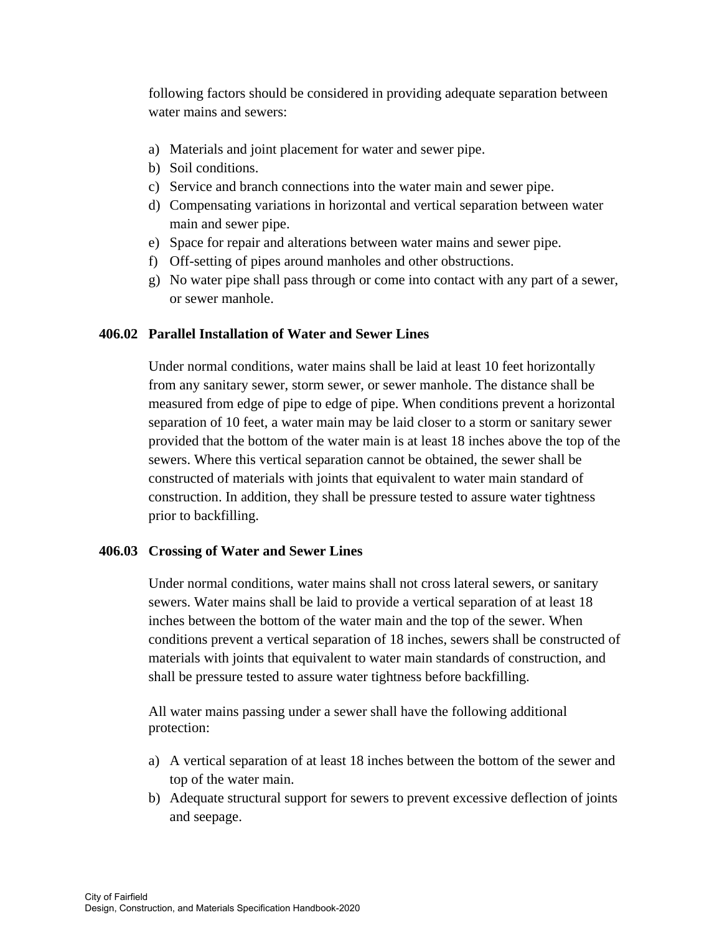following factors should be considered in providing adequate separation between water mains and sewers:

- a) Materials and joint placement for water and sewer pipe.
- b) Soil conditions.
- c) Service and branch connections into the water main and sewer pipe.
- d) Compensating variations in horizontal and vertical separation between water main and sewer pipe.
- e) Space for repair and alterations between water mains and sewer pipe.
- f) Off-setting of pipes around manholes and other obstructions.
- g) No water pipe shall pass through or come into contact with any part of a sewer, or sewer manhole.

# **406.02 Parallel Installation of Water and Sewer Lines**

Under normal conditions, water mains shall be laid at least 10 feet horizontally from any sanitary sewer, storm sewer, or sewer manhole. The distance shall be measured from edge of pipe to edge of pipe. When conditions prevent a horizontal separation of 10 feet, a water main may be laid closer to a storm or sanitary sewer provided that the bottom of the water main is at least 18 inches above the top of the sewers. Where this vertical separation cannot be obtained, the sewer shall be constructed of materials with joints that equivalent to water main standard of construction. In addition, they shall be pressure tested to assure water tightness prior to backfilling.

## **406.03 Crossing of Water and Sewer Lines**

Under normal conditions, water mains shall not cross lateral sewers, or sanitary sewers. Water mains shall be laid to provide a vertical separation of at least 18 inches between the bottom of the water main and the top of the sewer. When conditions prevent a vertical separation of 18 inches, sewers shall be constructed of materials with joints that equivalent to water main standards of construction, and shall be pressure tested to assure water tightness before backfilling.

 All water mains passing under a sewer shall have the following additional protection:

- a) A vertical separation of at least 18 inches between the bottom of the sewer and top of the water main.
- b) Adequate structural support for sewers to prevent excessive deflection of joints and seepage.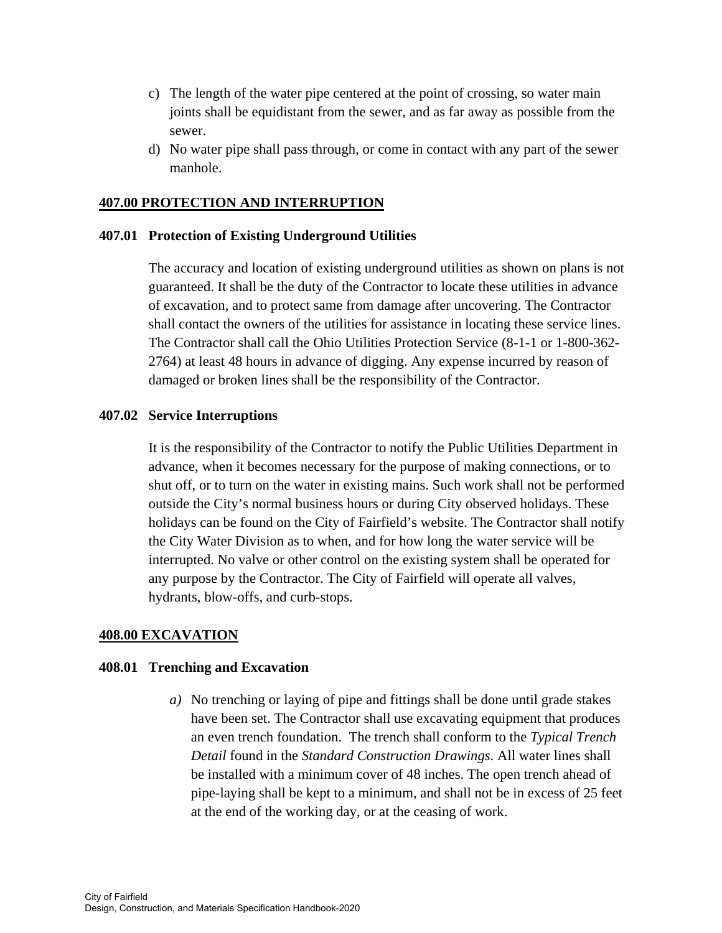- c) The length of the water pipe centered at the point of crossing, so water main joints shall be equidistant from the sewer, and as far away as possible from the sewer.
- d) No water pipe shall pass through, or come in contact with any part of the sewer manhole.

## **407.00 PROTECTION AND INTERRUPTION**

## **407.01 Protection of Existing Underground Utilities**

The accuracy and location of existing underground utilities as shown on plans is not guaranteed. It shall be the duty of the Contractor to locate these utilities in advance of excavation, and to protect same from damage after uncovering. The Contractor shall contact the owners of the utilities for assistance in locating these service lines. The Contractor shall call the Ohio Utilities Protection Service (8-1-1 or 1-800-362- 2764) at least 48 hours in advance of digging. Any expense incurred by reason of damaged or broken lines shall be the responsibility of the Contractor.

### **407.02 Service Interruptions**

It is the responsibility of the Contractor to notify the Public Utilities Department in advance, when it becomes necessary for the purpose of making connections, or to shut off, or to turn on the water in existing mains. Such work shall not be performed outside the City's normal business hours or during City observed holidays. These holidays can be found on the City of Fairfield's website. The Contractor shall notify the City Water Division as to when, and for how long the water service will be interrupted. No valve or other control on the existing system shall be operated for any purpose by the Contractor. The City of Fairfield will operate all valves, hydrants, blow-offs, and curb-stops.

## **408.00 EXCAVATION**

#### **408.01 Trenching and Excavation**

*a)* No trenching or laying of pipe and fittings shall be done until grade stakes have been set. The Contractor shall use excavating equipment that produces an even trench foundation. The trench shall conform to the *Typical Trench Detail* found in the *Standard Construction Drawings*. All water lines shall be installed with a minimum cover of 48 inches. The open trench ahead of pipe-laying shall be kept to a minimum, and shall not be in excess of 25 feet at the end of the working day, or at the ceasing of work.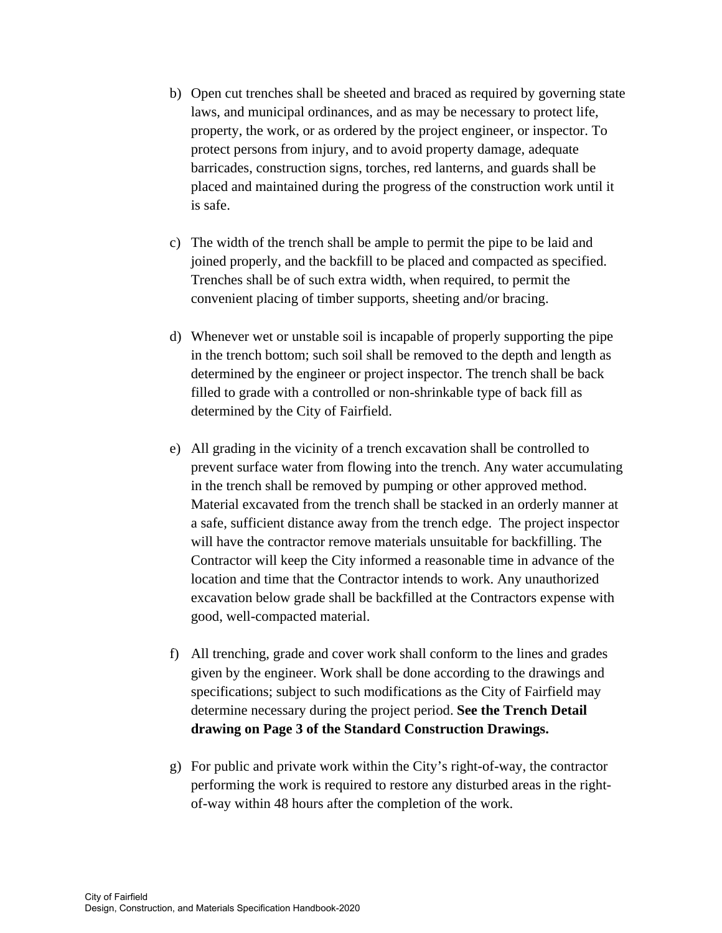- b) Open cut trenches shall be sheeted and braced as required by governing state laws, and municipal ordinances, and as may be necessary to protect life, property, the work, or as ordered by the project engineer, or inspector. To protect persons from injury, and to avoid property damage, adequate barricades, construction signs, torches, red lanterns, and guards shall be placed and maintained during the progress of the construction work until it is safe.
- c) The width of the trench shall be ample to permit the pipe to be laid and joined properly, and the backfill to be placed and compacted as specified. Trenches shall be of such extra width, when required, to permit the convenient placing of timber supports, sheeting and/or bracing.
- d) Whenever wet or unstable soil is incapable of properly supporting the pipe in the trench bottom; such soil shall be removed to the depth and length as determined by the engineer or project inspector. The trench shall be back filled to grade with a controlled or non-shrinkable type of back fill as determined by the City of Fairfield.
- e) All grading in the vicinity of a trench excavation shall be controlled to prevent surface water from flowing into the trench. Any water accumulating in the trench shall be removed by pumping or other approved method. Material excavated from the trench shall be stacked in an orderly manner at a safe, sufficient distance away from the trench edge. The project inspector will have the contractor remove materials unsuitable for backfilling. The Contractor will keep the City informed a reasonable time in advance of the location and time that the Contractor intends to work. Any unauthorized excavation below grade shall be backfilled at the Contractors expense with good, well-compacted material.
- f) All trenching, grade and cover work shall conform to the lines and grades given by the engineer. Work shall be done according to the drawings and specifications; subject to such modifications as the City of Fairfield may determine necessary during the project period. **See the Trench Detail drawing on Page 3 of the Standard Construction Drawings.**
- g) For public and private work within the City's right-of-way, the contractor performing the work is required to restore any disturbed areas in the rightof-way within 48 hours after the completion of the work.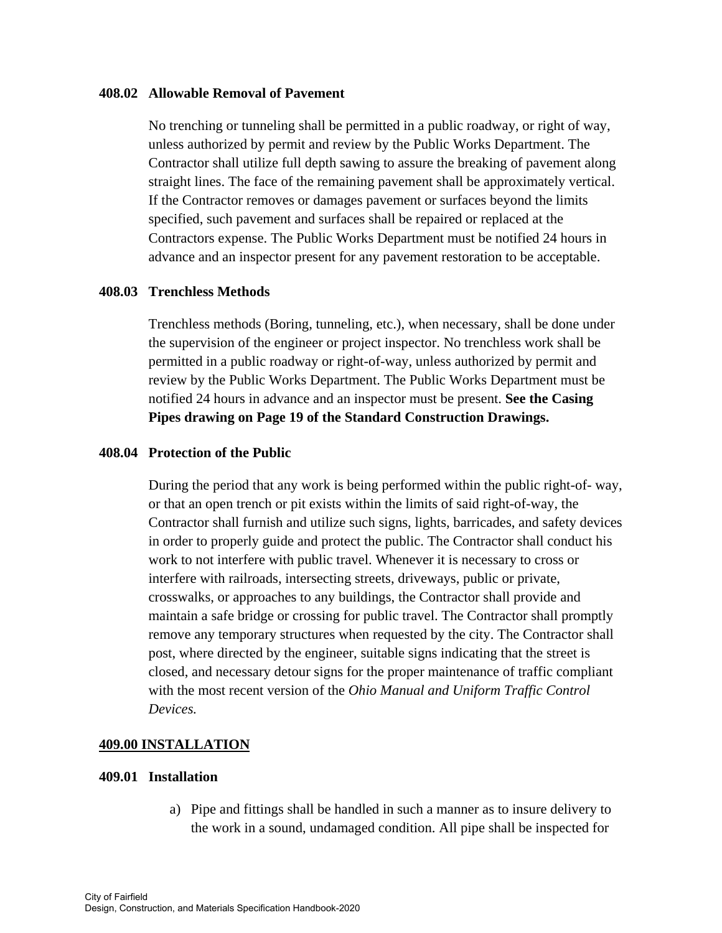#### **408.02 Allowable Removal of Pavement**

No trenching or tunneling shall be permitted in a public roadway, or right of way, unless authorized by permit and review by the Public Works Department. The Contractor shall utilize full depth sawing to assure the breaking of pavement along straight lines. The face of the remaining pavement shall be approximately vertical. If the Contractor removes or damages pavement or surfaces beyond the limits specified, such pavement and surfaces shall be repaired or replaced at the Contractors expense. The Public Works Department must be notified 24 hours in advance and an inspector present for any pavement restoration to be acceptable.

## **408.03 Trenchless Methods**

Trenchless methods (Boring, tunneling, etc.), when necessary, shall be done under the supervision of the engineer or project inspector. No trenchless work shall be permitted in a public roadway or right-of-way, unless authorized by permit and review by the Public Works Department. The Public Works Department must be notified 24 hours in advance and an inspector must be present. **See the Casing Pipes drawing on Page 19 of the Standard Construction Drawings.** 

### **408.04 Protection of the Public**

During the period that any work is being performed within the public right-of- way, or that an open trench or pit exists within the limits of said right-of-way, the Contractor shall furnish and utilize such signs, lights, barricades, and safety devices in order to properly guide and protect the public. The Contractor shall conduct his work to not interfere with public travel. Whenever it is necessary to cross or interfere with railroads, intersecting streets, driveways, public or private, crosswalks, or approaches to any buildings, the Contractor shall provide and maintain a safe bridge or crossing for public travel. The Contractor shall promptly remove any temporary structures when requested by the city. The Contractor shall post, where directed by the engineer, suitable signs indicating that the street is closed, and necessary detour signs for the proper maintenance of traffic compliant with the most recent version of the *Ohio Manual and Uniform Traffic Control Devices.* 

## **409.00 INSTALLATION**

## **409.01 Installation**

a) Pipe and fittings shall be handled in such a manner as to insure delivery to the work in a sound, undamaged condition. All pipe shall be inspected for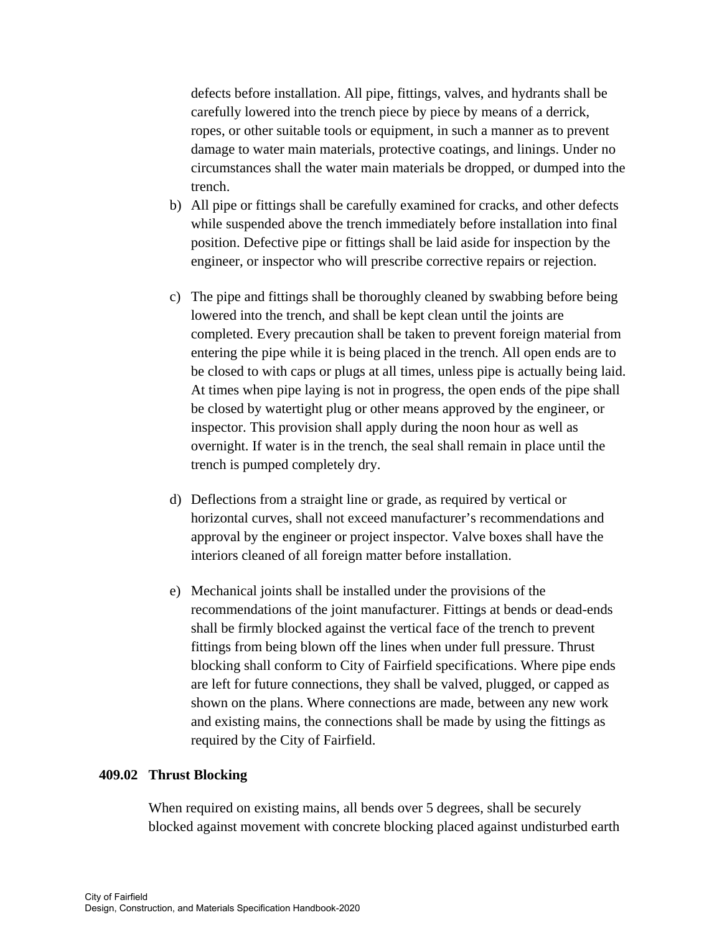defects before installation. All pipe, fittings, valves, and hydrants shall be carefully lowered into the trench piece by piece by means of a derrick, ropes, or other suitable tools or equipment, in such a manner as to prevent damage to water main materials, protective coatings, and linings. Under no circumstances shall the water main materials be dropped, or dumped into the trench.

- b) All pipe or fittings shall be carefully examined for cracks, and other defects while suspended above the trench immediately before installation into final position. Defective pipe or fittings shall be laid aside for inspection by the engineer, or inspector who will prescribe corrective repairs or rejection.
- c) The pipe and fittings shall be thoroughly cleaned by swabbing before being lowered into the trench, and shall be kept clean until the joints are completed. Every precaution shall be taken to prevent foreign material from entering the pipe while it is being placed in the trench. All open ends are to be closed to with caps or plugs at all times, unless pipe is actually being laid. At times when pipe laying is not in progress, the open ends of the pipe shall be closed by watertight plug or other means approved by the engineer, or inspector. This provision shall apply during the noon hour as well as overnight. If water is in the trench, the seal shall remain in place until the trench is pumped completely dry.
- d) Deflections from a straight line or grade, as required by vertical or horizontal curves, shall not exceed manufacturer's recommendations and approval by the engineer or project inspector. Valve boxes shall have the interiors cleaned of all foreign matter before installation.
- e) Mechanical joints shall be installed under the provisions of the recommendations of the joint manufacturer. Fittings at bends or dead-ends shall be firmly blocked against the vertical face of the trench to prevent fittings from being blown off the lines when under full pressure. Thrust blocking shall conform to City of Fairfield specifications. Where pipe ends are left for future connections, they shall be valved, plugged, or capped as shown on the plans. Where connections are made, between any new work and existing mains, the connections shall be made by using the fittings as required by the City of Fairfield.

## **409.02 Thrust Blocking**

When required on existing mains, all bends over 5 degrees, shall be securely blocked against movement with concrete blocking placed against undisturbed earth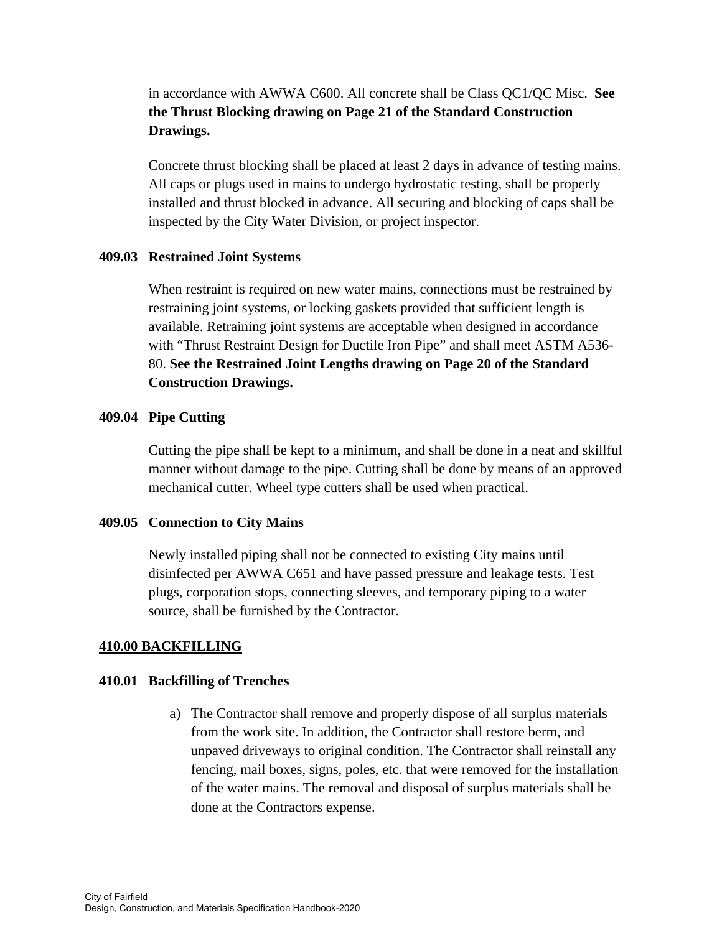# in accordance with AWWA C600. All concrete shall be Class QC1/QC Misc. **See the Thrust Blocking drawing on Page 21 of the Standard Construction Drawings.**

 Concrete thrust blocking shall be placed at least 2 days in advance of testing mains. All caps or plugs used in mains to undergo hydrostatic testing, shall be properly installed and thrust blocked in advance. All securing and blocking of caps shall be inspected by the City Water Division, or project inspector.

# **409.03 Restrained Joint Systems**

When restraint is required on new water mains, connections must be restrained by restraining joint systems, or locking gaskets provided that sufficient length is available. Retraining joint systems are acceptable when designed in accordance with "Thrust Restraint Design for Ductile Iron Pipe" and shall meet ASTM A536- 80. **See the Restrained Joint Lengths drawing on Page 20 of the Standard Construction Drawings.** 

# **409.04 Pipe Cutting**

Cutting the pipe shall be kept to a minimum, and shall be done in a neat and skillful manner without damage to the pipe. Cutting shall be done by means of an approved mechanical cutter. Wheel type cutters shall be used when practical.

# **409.05 Connection to City Mains**

Newly installed piping shall not be connected to existing City mains until disinfected per AWWA C651 and have passed pressure and leakage tests. Test plugs, corporation stops, connecting sleeves, and temporary piping to a water source, shall be furnished by the Contractor.

# **410.00 BACKFILLING**

## **410.01 Backfilling of Trenches**

a) The Contractor shall remove and properly dispose of all surplus materials from the work site. In addition, the Contractor shall restore berm, and unpaved driveways to original condition. The Contractor shall reinstall any fencing, mail boxes, signs, poles, etc. that were removed for the installation of the water mains. The removal and disposal of surplus materials shall be done at the Contractors expense.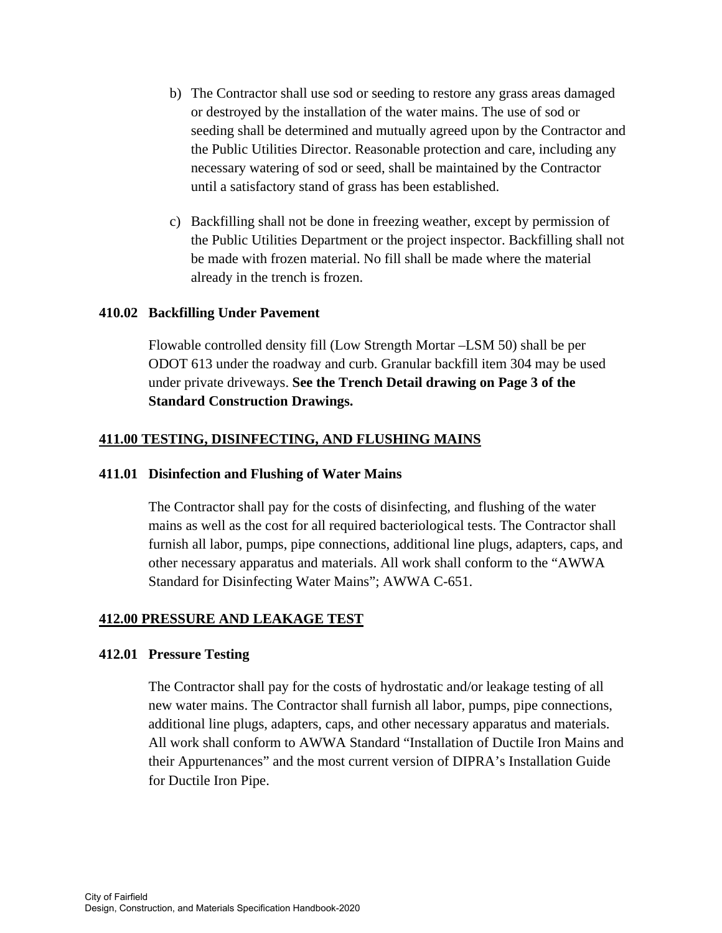- b) The Contractor shall use sod or seeding to restore any grass areas damaged or destroyed by the installation of the water mains. The use of sod or seeding shall be determined and mutually agreed upon by the Contractor and the Public Utilities Director. Reasonable protection and care, including any necessary watering of sod or seed, shall be maintained by the Contractor until a satisfactory stand of grass has been established.
- c) Backfilling shall not be done in freezing weather, except by permission of the Public Utilities Department or the project inspector. Backfilling shall not be made with frozen material. No fill shall be made where the material already in the trench is frozen.

### **410.02 Backfilling Under Pavement**

Flowable controlled density fill (Low Strength Mortar –LSM 50) shall be per ODOT 613 under the roadway and curb. Granular backfill item 304 may be used under private driveways. **See the Trench Detail drawing on Page 3 of the Standard Construction Drawings.** 

### **411.00 TESTING, DISINFECTING, AND FLUSHING MAINS**

#### **411.01 Disinfection and Flushing of Water Mains**

The Contractor shall pay for the costs of disinfecting, and flushing of the water mains as well as the cost for all required bacteriological tests. The Contractor shall furnish all labor, pumps, pipe connections, additional line plugs, adapters, caps, and other necessary apparatus and materials. All work shall conform to the "AWWA Standard for Disinfecting Water Mains"; AWWA C-651.

# **412.00 PRESSURE AND LEAKAGE TEST**

#### **412.01 Pressure Testing**

The Contractor shall pay for the costs of hydrostatic and/or leakage testing of all new water mains. The Contractor shall furnish all labor, pumps, pipe connections, additional line plugs, adapters, caps, and other necessary apparatus and materials. All work shall conform to AWWA Standard "Installation of Ductile Iron Mains and their Appurtenances" and the most current version of DIPRA's Installation Guide for Ductile Iron Pipe.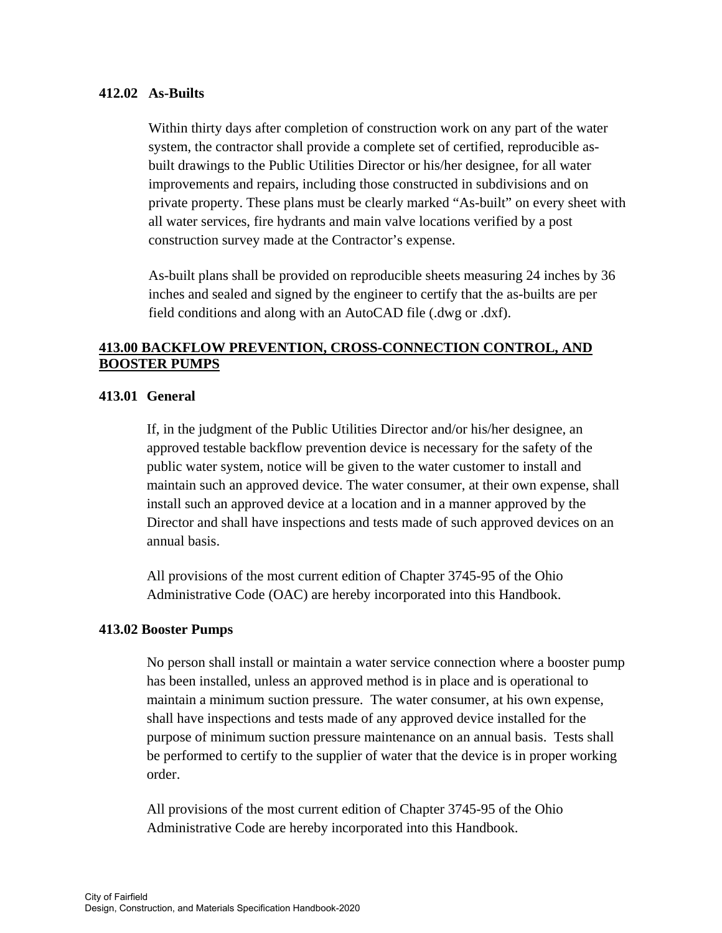## **412.02 As-Builts**

Within thirty days after completion of construction work on any part of the water system, the contractor shall provide a complete set of certified, reproducible asbuilt drawings to the Public Utilities Director or his/her designee, for all water improvements and repairs, including those constructed in subdivisions and on private property. These plans must be clearly marked "As-built" on every sheet with all water services, fire hydrants and main valve locations verified by a post construction survey made at the Contractor's expense.

 As-built plans shall be provided on reproducible sheets measuring 24 inches by 36 inches and sealed and signed by the engineer to certify that the as-builts are per field conditions and along with an AutoCAD file (.dwg or .dxf).

# **413.00 BACKFLOW PREVENTION, CROSS-CONNECTION CONTROL, AND BOOSTER PUMPS**

## **413.01 General**

If, in the judgment of the Public Utilities Director and/or his/her designee, an approved testable backflow prevention device is necessary for the safety of the public water system, notice will be given to the water customer to install and maintain such an approved device. The water consumer, at their own expense, shall install such an approved device at a location and in a manner approved by the Director and shall have inspections and tests made of such approved devices on an annual basis.

All provisions of the most current edition of Chapter 3745-95 of the Ohio Administrative Code (OAC) are hereby incorporated into this Handbook.

#### **413.02 Booster Pumps**

No person shall install or maintain a water service connection where a booster pump has been installed, unless an approved method is in place and is operational to maintain a minimum suction pressure. The water consumer, at his own expense, shall have inspections and tests made of any approved device installed for the purpose of minimum suction pressure maintenance on an annual basis. Tests shall be performed to certify to the supplier of water that the device is in proper working order.

All provisions of the most current edition of Chapter 3745-95 of the Ohio Administrative Code are hereby incorporated into this Handbook.